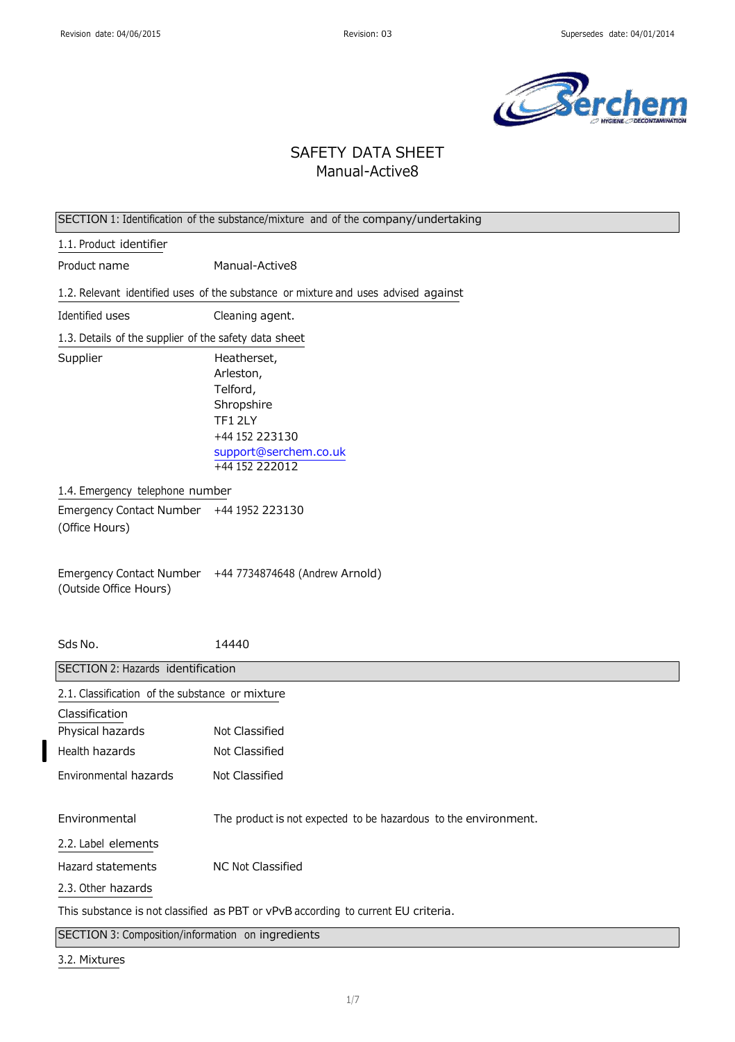

# SAFETY DATA SHEET Manual-Active8

| SECTION 1: Identification of the substance/mixture and of the company/undertaking |                                                                                                                           |  |
|-----------------------------------------------------------------------------------|---------------------------------------------------------------------------------------------------------------------------|--|
| 1.1. Product identifier                                                           |                                                                                                                           |  |
| Product name                                                                      | Manual-Active8                                                                                                            |  |
|                                                                                   | 1.2. Relevant identified uses of the substance or mixture and uses advised against                                        |  |
| Identified uses                                                                   | Cleaning agent.                                                                                                           |  |
| 1.3. Details of the supplier of the safety data sheet                             |                                                                                                                           |  |
| Supplier                                                                          | Heatherset,<br>Arleston,<br>Telford,<br>Shropshire<br>TF12LY<br>+44 152 223130<br>support@serchem.co.uk<br>+44 152 222012 |  |
| 1.4. Emergency telephone number                                                   |                                                                                                                           |  |
| Emergency Contact Number +44 1952 223130<br>(Office Hours)                        |                                                                                                                           |  |
| (Outside Office Hours)                                                            | Emergency Contact Number +44 7734874648 (Andrew Arnold)                                                                   |  |
| Sds No.                                                                           | 14440                                                                                                                     |  |
| SECTION 2: Hazards identification                                                 |                                                                                                                           |  |
| 2.1. Classification of the substance or mixture                                   |                                                                                                                           |  |
| Classification                                                                    |                                                                                                                           |  |
| Physical hazards                                                                  | Not Classified                                                                                                            |  |
| Health hazards                                                                    | Not Classified                                                                                                            |  |
| Environmental hazards                                                             | Not Classified                                                                                                            |  |
| Environmental                                                                     | The product is not expected to be hazardous to the environment.                                                           |  |
| 2.2. Label elements                                                               |                                                                                                                           |  |
| Hazard statements                                                                 | NC Not Classified                                                                                                         |  |
| 2.3. Other hazards                                                                |                                                                                                                           |  |
|                                                                                   | This substance is not classified as PBT or vPvB according to current EU criteria.                                         |  |
| SECTION 3: Composition/information on ingredients                                 |                                                                                                                           |  |

3.2. Mixtures

 $\overline{\phantom{a}}$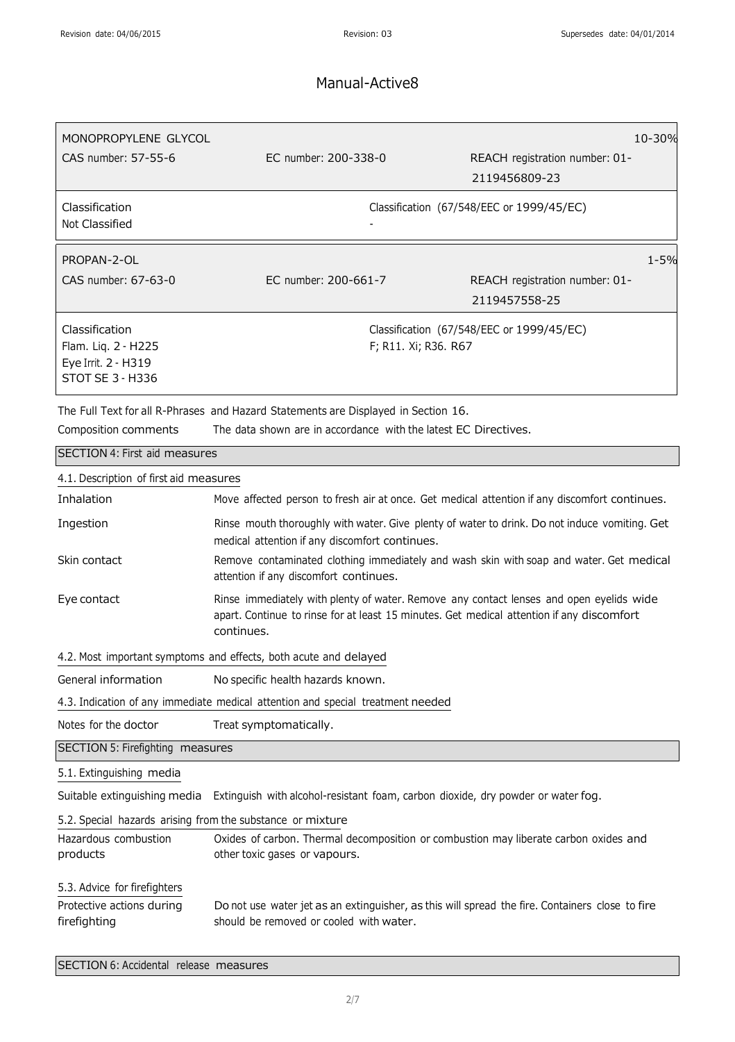| MONOPROPYLENE GLYCOL<br>CAS number: 57-55-6                                             | EC number: 200-338-0                                                                                                                                  | 10-30%<br>REACH registration number: 01-<br>2119456809-23         |
|-----------------------------------------------------------------------------------------|-------------------------------------------------------------------------------------------------------------------------------------------------------|-------------------------------------------------------------------|
| Classification<br>Not Classified                                                        |                                                                                                                                                       | Classification (67/548/EEC or 1999/45/EC)                         |
| PROPAN-2-OL<br>CAS number: 67-63-0                                                      | EC number: 200-661-7                                                                                                                                  | $1 - 5%$<br>REACH registration number: 01-<br>2119457558-25       |
| Classification<br>Flam. Liq. 2 - H225<br>Eye Irrit. 2 - H319<br><b>STOT SE 3 - H336</b> |                                                                                                                                                       | Classification (67/548/EEC or 1999/45/EC)<br>F; R11. Xi; R36. R67 |
| Composition comments                                                                    | The Full Text for all R-Phrases and Hazard Statements are Displayed in Section 16.<br>The data shown are in accordance with the latest EC Directives. |                                                                   |

| SECTION 4: First aid measures                                             |                                                                                                                                                                                                    |  |
|---------------------------------------------------------------------------|----------------------------------------------------------------------------------------------------------------------------------------------------------------------------------------------------|--|
| 4.1. Description of first aid measures                                    |                                                                                                                                                                                                    |  |
| Inhalation                                                                | Move affected person to fresh air at once. Get medical attention if any discomfort continues.                                                                                                      |  |
| Ingestion                                                                 | Rinse mouth thoroughly with water. Give plenty of water to drink. Do not induce vomiting. Get<br>medical attention if any discomfort continues.                                                    |  |
| Skin contact                                                              | Remove contaminated clothing immediately and wash skin with soap and water. Get medical<br>attention if any discomfort continues.                                                                  |  |
| Eye contact                                                               | Rinse immediately with plenty of water. Remove any contact lenses and open eyelids wide<br>apart. Continue to rinse for at least 15 minutes. Get medical attention if any discomfort<br>continues. |  |
| 4.2. Most important symptoms and effects, both acute and delayed          |                                                                                                                                                                                                    |  |
| General information                                                       | No specific health hazards known.                                                                                                                                                                  |  |
|                                                                           | 4.3. Indication of any immediate medical attention and special treatment needed                                                                                                                    |  |
| Notes for the doctor                                                      | Treat symptomatically.                                                                                                                                                                             |  |
| SECTION 5: Firefighting measures                                          |                                                                                                                                                                                                    |  |
| 5.1. Extinguishing media                                                  |                                                                                                                                                                                                    |  |
| Suitable extinguishing media                                              | Extinguish with alcohol-resistant foam, carbon dioxide, dry powder or water fog.                                                                                                                   |  |
| 5.2. Special hazards arising from the substance or mixture                |                                                                                                                                                                                                    |  |
| Hazardous combustion<br>products                                          | Oxides of carbon. Thermal decomposition or combustion may liberate carbon oxides and<br>other toxic gases or vapours.                                                                              |  |
| 5.3. Advice for firefighters<br>Protective actions during<br>firefighting | Do not use water jet as an extinguisher, as this will spread the fire. Containers close to fire<br>should be removed or cooled with water.                                                         |  |
| SECTION 6: Accidental release measures                                    |                                                                                                                                                                                                    |  |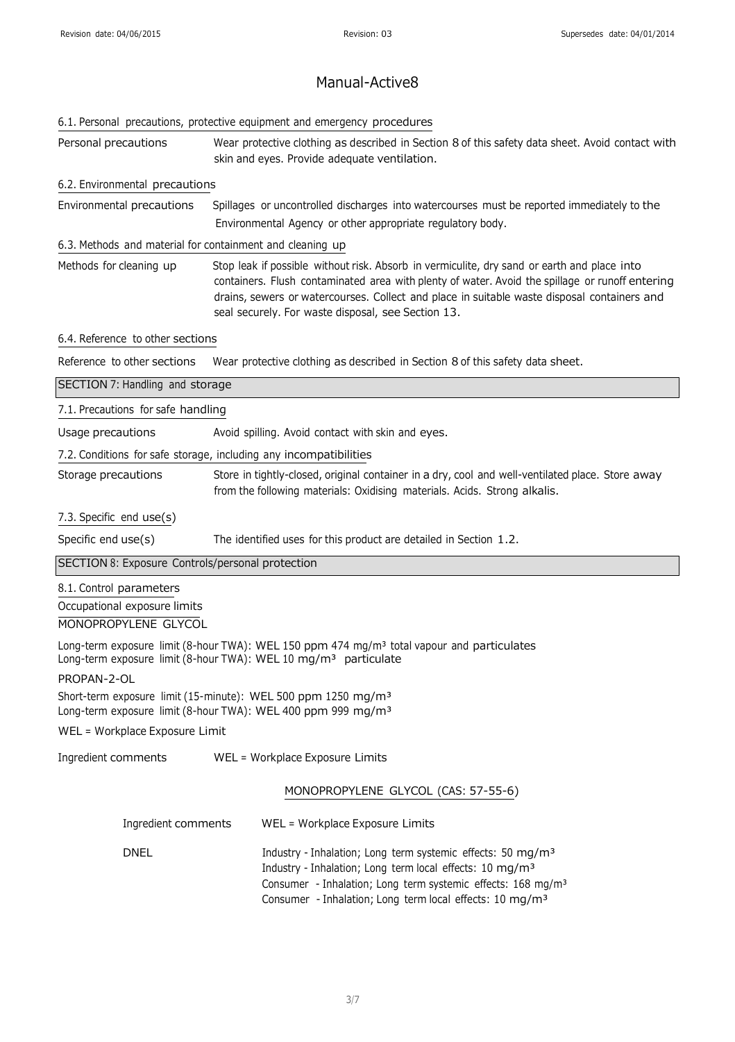|                                                           | 6.1. Personal precautions, protective equipment and emergency procedures                                                                                                                                                                                                                                                                            |
|-----------------------------------------------------------|-----------------------------------------------------------------------------------------------------------------------------------------------------------------------------------------------------------------------------------------------------------------------------------------------------------------------------------------------------|
| Personal precautions                                      | Wear protective clothing as described in Section 8 of this safety data sheet. Avoid contact with<br>skin and eyes. Provide adequate ventilation.                                                                                                                                                                                                    |
| 6.2. Environmental precautions                            |                                                                                                                                                                                                                                                                                                                                                     |
| Environmental precautions                                 | Spillages or uncontrolled discharges into watercourses must be reported immediately to the<br>Environmental Agency or other appropriate regulatory body.                                                                                                                                                                                            |
| 6.3. Methods and material for containment and cleaning up |                                                                                                                                                                                                                                                                                                                                                     |
| Methods for cleaning up                                   | Stop leak if possible without risk. Absorb in vermiculite, dry sand or earth and place into<br>containers. Flush contaminated area with plenty of water. Avoid the spillage or runoff entering<br>drains, sewers or watercourses. Collect and place in suitable waste disposal containers and<br>seal securely. For waste disposal, see Section 13. |
| 6.4. Reference to other sections                          |                                                                                                                                                                                                                                                                                                                                                     |
| Reference to other sections                               | Wear protective clothing as described in Section 8 of this safety data sheet.                                                                                                                                                                                                                                                                       |
| SECTION 7: Handling and storage                           |                                                                                                                                                                                                                                                                                                                                                     |
| 7.1. Precautions for safe handling                        |                                                                                                                                                                                                                                                                                                                                                     |
| Usage precautions                                         | Avoid spilling. Avoid contact with skin and eyes.                                                                                                                                                                                                                                                                                                   |
|                                                           | 7.2. Conditions for safe storage, including any incompatibilities                                                                                                                                                                                                                                                                                   |
| Storage precautions                                       | Store in tightly-closed, original container in a dry, cool and well-ventilated place. Store away<br>from the following materials: Oxidising materials. Acids. Strong alkalis.                                                                                                                                                                       |
| 7.3. Specific end use(s)                                  |                                                                                                                                                                                                                                                                                                                                                     |
| Specific end use(s)                                       | The identified uses for this product are detailed in Section 1.2.                                                                                                                                                                                                                                                                                   |
| SECTION 8: Exposure Controls/personal protection          |                                                                                                                                                                                                                                                                                                                                                     |
| 8.1. Control parameters                                   |                                                                                                                                                                                                                                                                                                                                                     |
| Occupational exposure limits<br>MONOPROPYLENE GLYCOL      |                                                                                                                                                                                                                                                                                                                                                     |
|                                                           | Long-term exposure limit (8-hour TWA): WEL 150 ppm 474 mg/m <sup>3</sup> total vapour and particulates<br>Long-term exposure limit (8-hour TWA): WEL 10 mg/m <sup>3</sup> particulate                                                                                                                                                               |
| PROPAN-2-OL                                               |                                                                                                                                                                                                                                                                                                                                                     |
|                                                           | Short-term exposure limit (15-minute): WEL 500 ppm 1250 mg/m <sup>3</sup><br>Long-term exposure limit (8-hour TWA): WEL 400 ppm 999 mg/m <sup>3</sup>                                                                                                                                                                                               |
| WEL = Workplace Exposure Limit                            |                                                                                                                                                                                                                                                                                                                                                     |
| Ingredient comments                                       | WEL = Workplace Exposure Limits                                                                                                                                                                                                                                                                                                                     |
|                                                           | MONOPROPYLENE GLYCOL (CAS: 57-55-6)                                                                                                                                                                                                                                                                                                                 |
| Ingredient comments                                       | WEL = Workplace Exposure Limits                                                                                                                                                                                                                                                                                                                     |
| <b>DNEL</b>                                               | Industry - Inhalation; Long term systemic effects: 50 mg/m <sup>3</sup><br>Industry - Inhalation; Long term local effects: 10 mg/m <sup>3</sup><br>Consumer - Inhalation; Long term systemic effects: 168 mg/m <sup>3</sup><br>Consumer - Inhalation; Long term local effects: 10 mg/m <sup>3</sup>                                                 |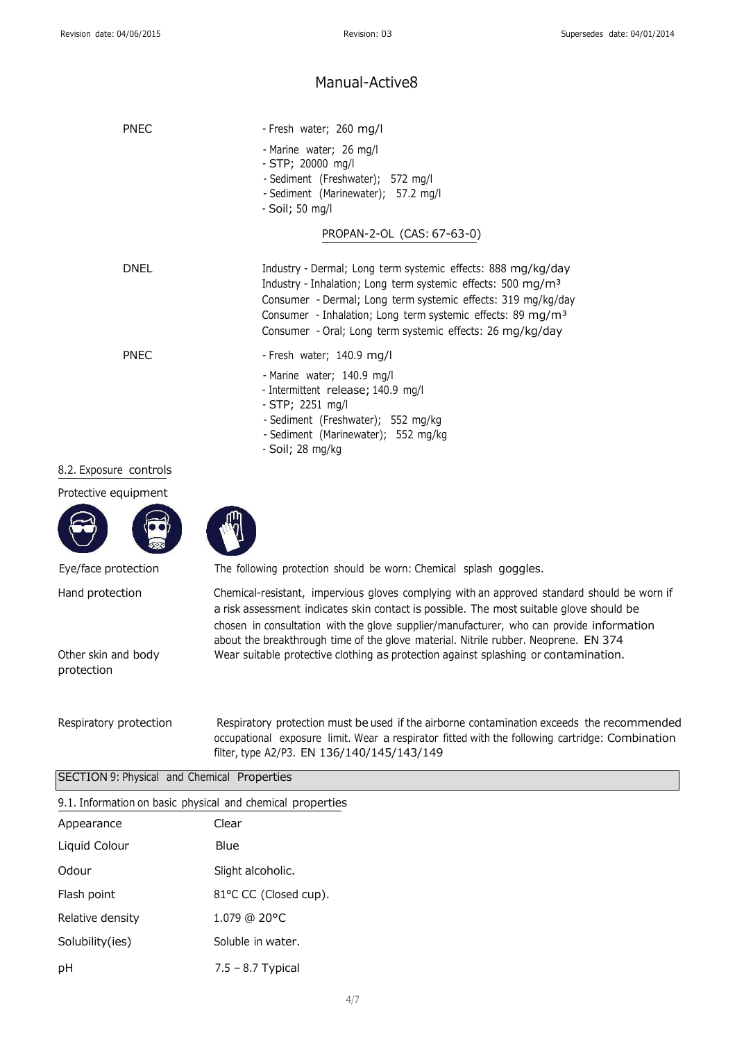| <b>PNEC</b>            | - Fresh water; 260 mg/l                                                                                                                                                                                                                                                                                                                          |
|------------------------|--------------------------------------------------------------------------------------------------------------------------------------------------------------------------------------------------------------------------------------------------------------------------------------------------------------------------------------------------|
|                        | - Marine water; 26 mg/l<br>- STP; 20000 mg/l<br>- Sediment (Freshwater); 572 mg/l<br>- Sediment (Marinewater); 57.2 mg/l<br>- Soil; 50 mg/l                                                                                                                                                                                                      |
|                        | PROPAN-2-OL (CAS: 67-63-0)                                                                                                                                                                                                                                                                                                                       |
| <b>DNEL</b>            | Industry - Dermal; Long term systemic effects: 888 mg/kg/day<br>Industry - Inhalation; Long term systemic effects: 500 mg/m <sup>3</sup><br>Consumer - Dermal; Long term systemic effects: 319 mg/kg/day<br>Consumer - Inhalation; Long term systemic effects: 89 mg/m <sup>3</sup><br>Consumer - Oral; Long term systemic effects: 26 mg/kg/day |
| <b>PNEC</b>            | - Fresh water; 140.9 mg/l<br>- Marine water; 140.9 mg/l<br>- Intermittent release; 140.9 mg/l<br>$-STP$ ; 2251 mg/l<br>- Sediment (Freshwater); 552 mg/kg<br>- Sediment (Marinewater); 552 mg/kg<br>- Soil; 28 mg/kg                                                                                                                             |
| 8.2. Exposure controls |                                                                                                                                                                                                                                                                                                                                                  |

Protective equipment





Eye/face protection The following protection should be worn: Chemical splash goggles.

Hand protection Chemical-resistant, impervious gloves complying with an approved standard should be worn if a risk assessment indicates skin contact is possible. The most suitable glove should be chosen in consultation with the glove supplier/manufacturer, who can provide information about the breakthrough time of the glove material. Nitrile rubber. Neoprene. EN 374 Wear suitable protective clothing as protection against splashing or contamination.

Other skin and body

protection

Respiratory protection Respiratory protection must be used if the airborne contamination exceeds the recommended occupational exposure limit. Wear a respirator fitted with the following cartridge: Combination filter, type A2/P3. EN 136/140/145/143/149

| 9.1. Information on basic physical and chemical properties |                       |  |
|------------------------------------------------------------|-----------------------|--|
| Appearance                                                 | Clear                 |  |
| Liquid Colour                                              | Blue                  |  |
| Odour                                                      | Slight alcoholic.     |  |
| Flash point                                                | 81°C CC (Closed cup). |  |
| Relative density                                           | $1.079$ @ 20°C        |  |
| Solubility(ies)                                            | Soluble in water.     |  |
| рH                                                         | $7.5 - 8.7$ Typical   |  |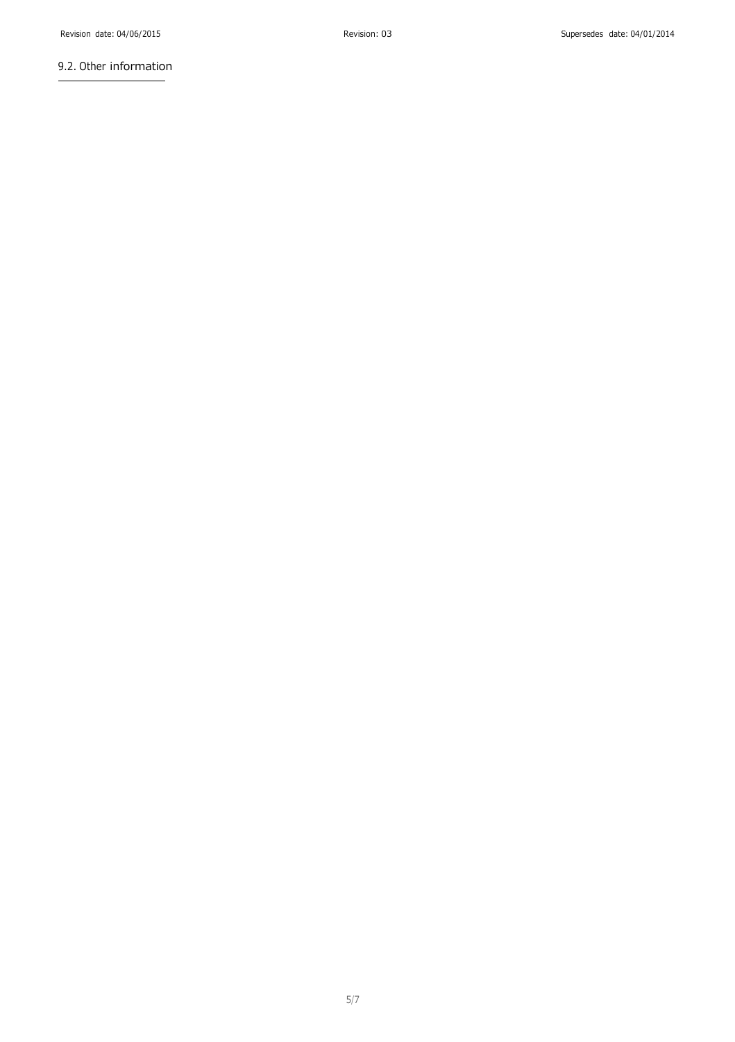### 9.2. Other information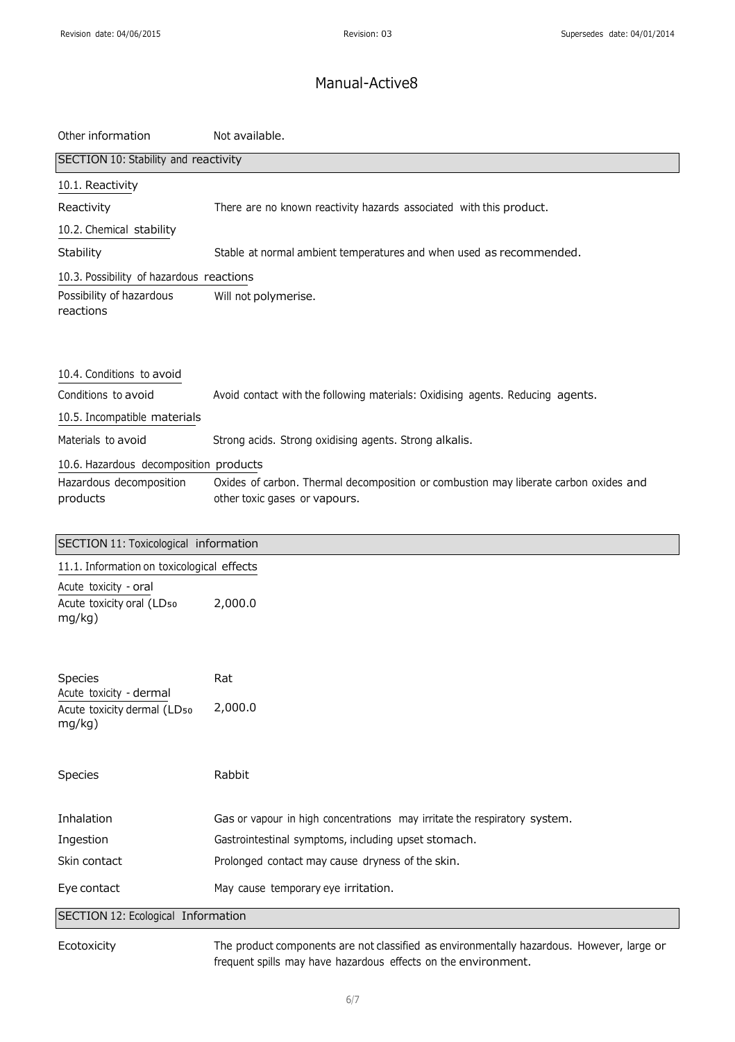| Other information                                                | Not available.                                                                                                        |
|------------------------------------------------------------------|-----------------------------------------------------------------------------------------------------------------------|
| SECTION 10: Stability and reactivity                             |                                                                                                                       |
| 10.1. Reactivity                                                 |                                                                                                                       |
| Reactivity                                                       | There are no known reactivity hazards associated with this product.                                                   |
| 10.2. Chemical stability                                         |                                                                                                                       |
| Stability                                                        | Stable at normal ambient temperatures and when used as recommended.                                                   |
| 10.3. Possibility of hazardous reactions                         |                                                                                                                       |
| Possibility of hazardous<br>reactions                            | Will not polymerise.                                                                                                  |
| 10.4. Conditions to avoid                                        |                                                                                                                       |
| Conditions to avoid                                              | Avoid contact with the following materials: Oxidising agents. Reducing agents.                                        |
| 10.5. Incompatible materials                                     |                                                                                                                       |
| Materials to avoid                                               | Strong acids. Strong oxidising agents. Strong alkalis.                                                                |
| 10.6. Hazardous decomposition products                           |                                                                                                                       |
| Hazardous decomposition<br>products                              | Oxides of carbon. Thermal decomposition or combustion may liberate carbon oxides and<br>other toxic gases or vapours. |
| SECTION 11: Toxicological information                            |                                                                                                                       |
| 11.1. Information on toxicological effects                       |                                                                                                                       |
| Acute toxicity - oral<br>Acute toxicity oral (LD50<br>mg/kg)     | 2,000.0                                                                                                               |
| Species                                                          | Rat                                                                                                                   |
| Acute toxicity - dermal<br>Acute toxicity dermal (LD50<br>mg/kg) | 2,000.0                                                                                                               |
| Species                                                          | Rabbit                                                                                                                |
| Inhalation                                                       | Gas or vapour in high concentrations may irritate the respiratory system.                                             |
| Ingestion                                                        | Gastrointestinal symptoms, including upset stomach.                                                                   |
| Skin contact                                                     | Prolonged contact may cause dryness of the skin.                                                                      |
| Eye contact                                                      | May cause temporary eye irritation.                                                                                   |
| SECTION 12: Ecological Information                               |                                                                                                                       |
| Ecotoxicity                                                      | The product components are not classified as environmentally hazardous. However, large or                             |

frequent spills may have hazardous effects on the environment.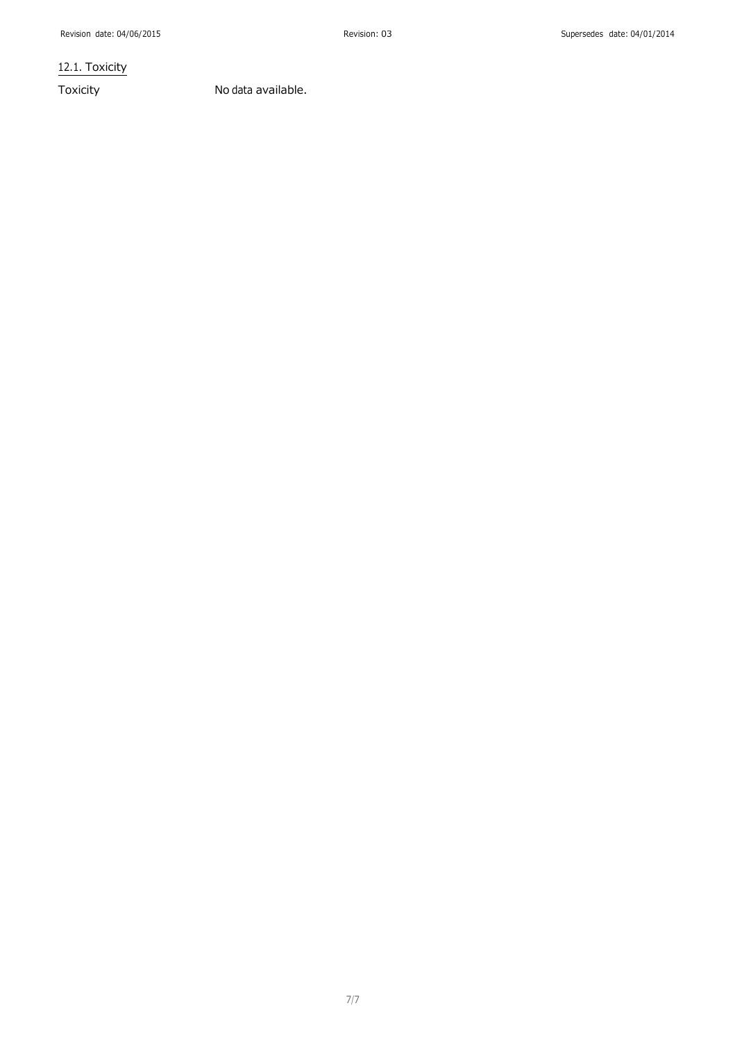12.1. Toxicity

Toxicity No data available.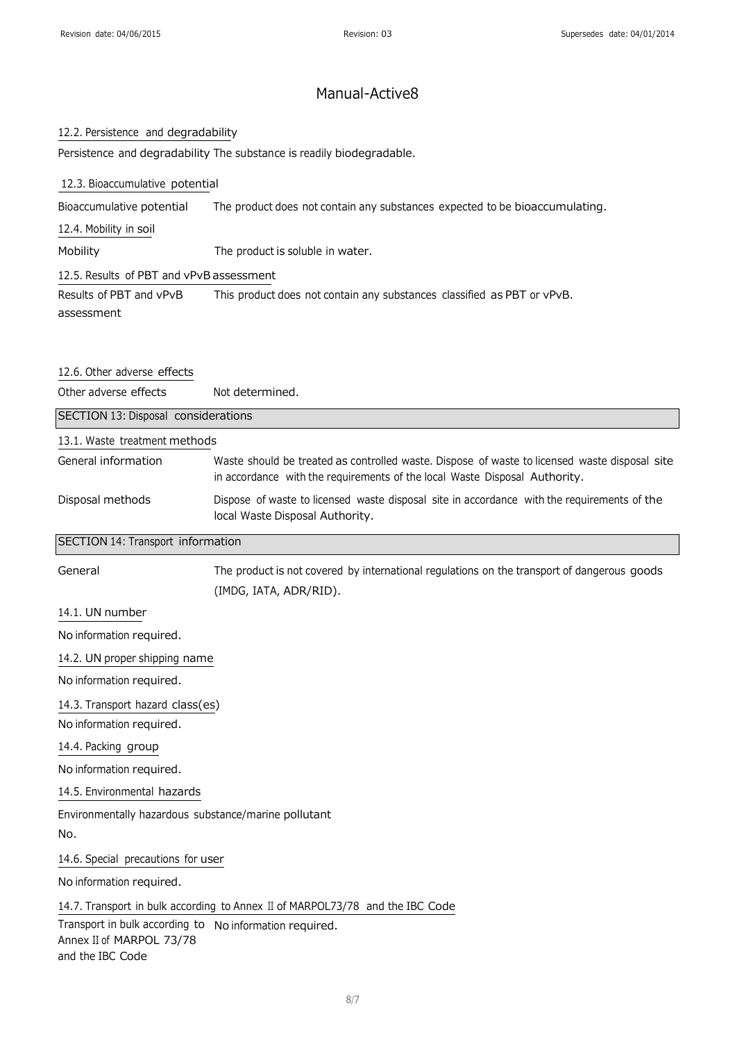#### 12.2. Persistence and degradability

Persistence and degradability The substance is readily biodegradable.

#### 12.3. Bioaccumulative potential

Bioaccumulative potential The product does not contain any substances expected to be bioaccumulating.

12.4. Mobility in soil

Mobility The product is soluble in water.

12.5. Results of PBT and vPvB assessment

Results of PBT and vPvB assessment This product does not contain any substances classified as PBT or vPvB.

#### 12.6. Other adverse effects

Other adverse effects Not determined.

| SECTION 13: Disposal considerations |                                                                                                                                                                             |
|-------------------------------------|-----------------------------------------------------------------------------------------------------------------------------------------------------------------------------|
| 13.1. Waste treatment methods       |                                                                                                                                                                             |
| General information                 | Waste should be treated as controlled waste. Dispose of waste to licensed waste disposal site<br>in accordance with the requirements of the local Waste Disposal Authority. |
| Disposal methods                    | Dispose of waste to licensed waste disposal site in accordance with the requirements of the<br>local Waste Disposal Authority.                                              |

#### SECTION 14: Transport information

| General                  | The product is not covered by international regulations on the transport of dangerous goods |
|--------------------------|---------------------------------------------------------------------------------------------|
|                          | (IMDG, IATA, ADR/RID).                                                                      |
| 14.1. UN number          |                                                                                             |
| No information required. |                                                                                             |

14.2. UN proper shipping name

No information required.

14.3. Transport hazard class(es)

No information required.

14.4. Packing group

No information required.

14.5. Environmental hazards

Environmentally hazardous substance/marine pollutant

No.

14.6. Special precautions for user

No information required.

14.7. Transport in bulk according to Annex II of MARPOL73/78 and the IBC Code

Transport in bulk according to No information required.Annex II of MARPOL 73/78 and the IBC Code